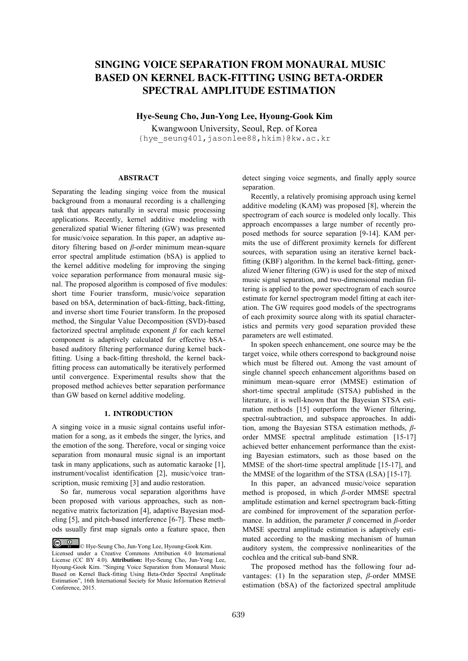# **SINGING VOICE SEPARATION FROM MONAURAL MUSIC BASED ON KERNEL BACK-FITTING USING BETA-ORDER SPECTRAL AMPLITUDE ESTIMATION**

**Hye-Seung Cho, Jun-Yong Lee, Hyoung-Gook Kim**

Kwangwoon University, Seoul, Rep. of Korea {hye\_seung401,jasonlee88,hkim}@kw.ac.kr

## **ABSTRACT**

Separating the leading singing voice from the musical background from a monaural recording is a challenging task that appears naturally in several music processing applications. Recently, kernel additive modeling with generalized spatial Wiener filtering (GW) was presented for music/voice separation. In this paper, an adaptive auditory filtering based on *β*-order minimum mean-square error spectral amplitude estimation (bSA) is applied to the kernel additive modeling for improving the singing voice separation performance from monaural music signal. The proposed algorithm is composed of five modules: short time Fourier transform, music/voice separation based on bSA, determination of back-fitting, back-fitting, and inverse short time Fourier transform. In the proposed method, the Singular Value Decomposition (SVD)-based factorized spectral amplitude exponent *β* for each kernel component is adaptively calculated for effective bSAbased auditory filtering performance during kernel backfitting. Using a back-fitting threshold, the kernel backfitting process can automatically be iteratively performed until convergence. Experimental results show that the proposed method achieves better separation performance than GW based on kernel additive modeling.

# **1. INTRODUCTION**

A singing voice in a music signal contains useful information for a song, as it embeds the singer, the lyrics, and the emotion of the song. Therefore, vocal or singing voice separation from monaural music signal is an important task in many applications, such as automatic karaoke [1], instrument/vocalist identification [2], music/voice transcription, music remixing [3] and audio restoration.

So far, numerous vocal separation algorithms have been proposed with various approaches, such as nonnegative matrix factorization [4], adaptive Bayesian modeling [5], and pitch-based interference [6-7]. These methods usually first map signals onto a feature space, then detect singing voice segments, and finally apply source separation.

Recently, a relatively promising approach using kernel additive modeling (KAM) was proposed [8], wherein the spectrogram of each source is modeled only locally. This approach encompasses a large number of recently proposed methods for source separation [9-14]. KAM permits the use of different proximity kernels for different sources, with separation using an iterative kernel backfitting (KBF) algorithm. In the kernel back-fitting, generalized Wiener filtering (GW) is used for the step of mixed music signal separation, and two-dimensional median filtering is applied to the power spectrogram of each source estimate for kernel spectrogram model fitting at each iteration. The GW requires good models of the spectrograms of each proximity source along with its spatial characteristics and permits very good separation provided these parameters are well estimated.

In spoken speech enhancement, one source may be the target voice, while others correspond to background noise which must be filtered out. Among the vast amount of single channel speech enhancement algorithms based on minimum mean-square error (MMSE) estimation of short-time spectral amplitude (STSA) published in the literature, it is well-known that the Bayesian STSA estimation methods [15] outperform the Wiener filtering, spectral-subtraction, and subspace approaches. In addition, among the Bayesian STSA estimation methods, *β*order MMSE spectral amplitude estimation [15-17] achieved better enhancement performance than the existing Bayesian estimators, such as those based on the MMSE of the short-time spectral amplitude [15-17], and the MMSE of the logarithm of the STSA (LSA) [15-17].

In this paper, an advanced music/voice separation method is proposed, in which *β*-order MMSE spectral amplitude estimation and kernel spectrogram back-fitting are combined for improvement of the separation performance. In addition, the parameter *β* concerned in *β*-order MMSE spectral amplitude estimation is adaptively estimated according to the masking mechanism of human auditory system, the compressive nonlinearities of the cochlea and the critical sub-band SNR.

The proposed method has the following four advantages: (1) In the separation step, *β*-order MMSE estimation (bSA) of the factorized spectral amplitude

<sup>©</sup> Hye-Seung Cho, Jun-Yong Lee, Hyoung-Gook Kim. Licensed under a Creative Commons Attribution 4.0 International License (CC BY 4.0). **Attribution:** Hye-Seung Cho, Jun-Yong Lee, Hyoung-Gook Kim. "Singing Voice Separation from Monaural Music Based on Kernel Back-fitting Using Beta-Order Spectral Amplitude Estimation", 16th International Society for Music Information Retrieval Conference, 2015.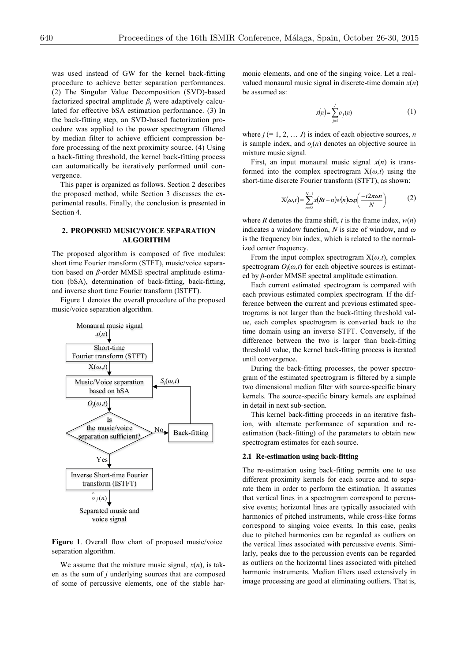was used instead of GW for the kernel back-fitting procedure to achieve better separation performances. (2) The Singular Value Decomposition (SVD)-based factorized spectral amplitude  $\beta$ *j* were adaptively calculated for effective bSA estimation performance. (3) In the back-fitting step, an SVD-based factorization procedure was applied to the power spectrogram filtered by median filter to achieve efficient compression before processing of the next proximity source. (4) Using a back-fitting threshold, the kernel back-fitting process can automatically be iteratively performed until convergence.

This paper is organized as follows. Section 2 describes the proposed method, while Section 3 discusses the experimental results. Finally, the conclusion is presented in Section 4.

## **2. PROPOSED MUSIC/VOICE SEPARATION ALGORITHM**

The proposed algorithm is composed of five modules: short time Fourier transform (STFT), music/voice separation based on *β*-order MMSE spectral amplitude estimation (bSA), determination of back-fitting, back-fitting, and inverse short time Fourier transform (ISTFT).

Figure 1 denotes the overall procedure of the proposed music/voice separation algorithm.



**Figure 1**. Overall flow chart of proposed music/voice separation algorithm.

We assume that the mixture music signal,  $x(n)$ , is taken as the sum of *j* underlying sources that are composed of some of percussive elements, one of the stable harmonic elements, and one of the singing voice. Let a realvalued monaural music signal in discrete-time domain *x*(*n*) be assumed as:

$$
x(n) = \sum_{j=1}^{J} o_j(n) \tag{1}
$$

where  $j (= 1, 2, \ldots, J)$  is index of each objective sources, *n* is sample index, and  $o_i(n)$  denotes an objective source in mixture music signal.

First, an input monaural music signal  $x(n)$  is transformed into the complex spectrogram X(*ω,t*) using the short-time discrete Fourier transform (STFT), as shown:

$$
X(\omega, t) = \sum_{n=0}^{N-1} x(Rt + n)w(n) \exp\left(\frac{-i2\pi\omega n}{N}\right)
$$
 (2)

where *R* denotes the frame shift, *t* is the frame index,  $w(n)$ indicates a window function, *N* is size of window, and *ω* is the frequency bin index, which is related to the normalized center frequency.

From the input complex spectrogram  $X(\omega,t)$ , complex spectrogram  $O_i(\omega, t)$  for each objective sources is estimated by *β*-order MMSE spectral amplitude estimation.

Each current estimated spectrogram is compared with each previous estimated complex spectrogram. If the difference between the current and previous estimated spectrograms is not larger than the back-fitting threshold value, each complex spectrogram is converted back to the time domain using an inverse STFT. Conversely, if the difference between the two is larger than back-fitting threshold value, the kernel back-fitting process is iterated until convergence.

During the back-fitting processes, the power spectrogram of the estimated spectrogram is filtered by a simple two dimensional median filter with source-specific binary kernels. The source-specific binary kernels are explained in detail in next sub-section.

This kernel back-fitting proceeds in an iterative fashion, with alternate performance of separation and reestimation (back-fitting) of the parameters to obtain new spectrogram estimates for each source.

#### **2.1 Re-estimation using back-fitting**

The re-estimation using back-fitting permits one to use different proximity kernels for each source and to separate them in order to perform the estimation. It assumes that vertical lines in a spectrogram correspond to percussive events; horizontal lines are typically associated with harmonics of pitched instruments, while cross-like forms correspond to singing voice events. In this case, peaks due to pitched harmonics can be regarded as outliers on the vertical lines associated with percussive events. Similarly, peaks due to the percussion events can be regarded as outliers on the horizontal lines associated with pitched harmonic instruments. Median filters used extensively in image processing are good at eliminating outliers. That is,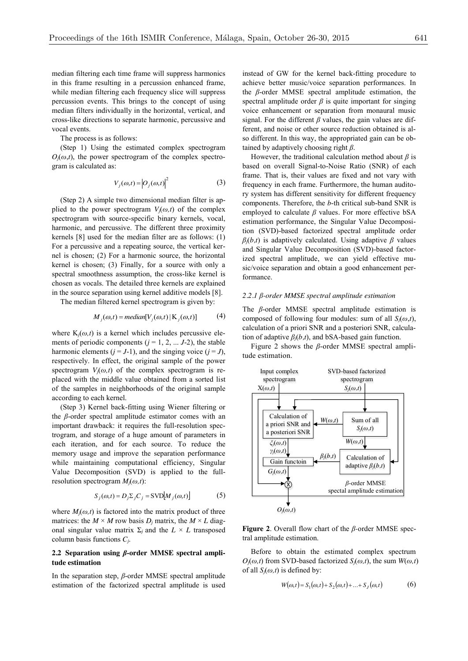median filtering each time frame will suppress harmonics in this frame resulting in a percussion enhanced frame, while median filtering each frequency slice will suppress percussion events. This brings to the concept of using median filters individually in the horizontal, vertical, and cross-like directions to separate harmonic, percussive and vocal events.

The process is as follows:

(Step 1) Using the estimated complex spectrogram  $O_i(\omega, t)$ , the power spectrogram of the complex spectrogram is calculated as:

$$
V_j(\omega, t) = |O_j(\omega, t)|^2
$$
 (3)

(Step 2) A simple two dimensional median filter is applied to the power spectrogram  $V_i(\omega, t)$  of the complex spectrogram with source-specific binary kernels, vocal, harmonic, and percussive. The different three proximity kernels [8] used for the median filter are as follows: (1) For a percussive and a repeating source, the vertical kernel is chosen; (2) For a harmonic source, the horizontal kernel is chosen; (3) Finally, for a source with only a spectral smoothness assumption, the cross-like kernel is chosen as vocals. The detailed three kernels are explained in the source separation using kernel additive models [8].

The median filtered kernel spectrogram is given by:

$$
M_j(\omega, t) = \text{median}[V_j(\omega, t) | K_j(\omega, t)] \tag{4}
$$

where  $K_j(\omega, t)$  is a kernel which includes percussive elements of periodic components  $(j = 1, 2, \dots, J-2)$ , the stable harmonic elements  $(j = J-1)$ , and the singing voice  $(j = J)$ , respectively. In effect, the original sample of the power spectrogram  $V_i(\omega, t)$  of the complex spectrogram is replaced with the middle value obtained from a sorted list of the samples in neighborhoods of the original sample according to each kernel.

(Step 3) Kernel back-fitting using Wiener filtering or the *β*-order spectral amplitude estimator comes with an important drawback: it requires the full-resolution spectrogram, and storage of a huge amount of parameters in each iteration, and for each source. To reduce the memory usage and improve the separation performance while maintaining computational efficiency. Singular Value Decomposition (SVD) is applied to the fullresolution spectrogram *Mj*(*ω,t*):

$$
S_j(\omega, t) = D_j \Sigma_j C_j = \text{SVD}[M_j(\omega, t)] \tag{5}
$$

where  $M_i(\omega, t)$  is factored into the matrix product of three matrices: the  $M \times M$  row basis  $D_i$  matrix, the  $M \times L$  diagonal singular value matrix  $\Sigma_i$  and the  $L \times L$  transposed column basis functions *Cj*.

## **2.2 Separation using** *β***-order MMSE spectral amplitude estimation**

In the separation step, *β*-order MMSE spectral amplitude estimation of the factorized spectral amplitude is used instead of GW for the kernel back-fitting procedure to achieve better music/voice separation performances. In the *β*-order MMSE spectral amplitude estimation, the spectral amplitude order  $\beta$  is quite important for singing voice enhancement or separation from monaural music signal. For the different *β* values, the gain values are different, and noise or other source reduction obtained is also different. In this way, the appropriated gain can be obtained by adaptively choosing right *β*.

However, the traditional calculation method about *β* is based on overall Signal-to-Noise Ratio (SNR) of each frame. That is, their values are fixed and not vary with frequency in each frame. Furthermore, the human auditory system has different sensitivity for different frequency components. Therefore, the *b*-th critical sub-band SNR is employed to calculate *β* values*.* For more effective bSA estimation performance, the Singular Value Decomposition (SVD)-based factorized spectral amplitude order  $\beta_i(b,t)$  is adaptively calculated. Using adaptive  $\beta$  values and Singular Value Decomposition (SVD)-based factorized spectral amplitude, we can yield effective music/voice separation and obtain a good enhancement performance.

### *2.2.1 β-order MMSE spectral amplitude estimation*

The *β*-order MMSE spectral amplitude estimation is composed of following four modules: sum of all  $S_i(\omega,t)$ , calculation of a priori SNR and a posteriori SNR, calculation of adaptive  $\beta_i(b,t)$ , and bSA-based gain function.

Figure 2 shows the *β*-order MMSE spectral amplitude estimation.



**Figure 2**. Overall flow chart of the *β-*order MMSE spectral amplitude estimation.

Before to obtain the estimated complex spectrum  $O_i(\omega, t)$  from SVD-based factorized  $S_i(\omega, t)$ , the sum  $W(\omega, t)$ of all  $S_i(\omega, t)$  is defined by:

$$
W(\omega, t) = S_1(\omega, t) + S_2(\omega, t) + \dots + S_J(\omega, t)
$$
 (6)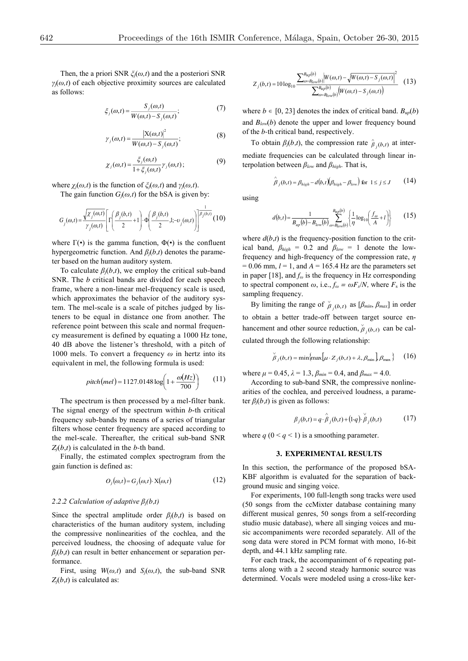Then, the a priori SNR *ξj*(*ω,t*) and the a posteriori SNR *γj*(*ω,t*) of each objective proximity sources are calculated as follows:

$$
\xi_j(\omega,t) = \frac{S_j(\omega,t)}{W(\omega,t) - S_j(\omega,t)};
$$
\n(7)

$$
\gamma_j(\omega,t) = \frac{|X(\omega,t)|^2}{W(\omega,t) - S_j(\omega,t)};
$$
\n(8)

$$
\chi_j(\omega,t) = \frac{\xi_j(\omega,t)}{1 + \xi_j(\omega,t)} \gamma_j(\omega,t); \tag{9}
$$

where  $\chi_i(\omega, t)$  is the function of  $\zeta_i(\omega, t)$  and  $\gamma_i(\omega, t)$ .

The gain function  $G_i(\omega, t)$  for the bSA is given by:

$$
G_j(\omega, t) = \frac{\sqrt{\chi_j(\omega, t)}}{\gamma_j(\omega, t)} \left[ \Gamma\left(\frac{\beta_j(b, t)}{2} + 1\right) \cdot \Phi\left(\frac{\beta_j(b, t)}{2}, 1; -\nu_j(\omega, t)\right) \right]^{\frac{1}{\beta_j(b, t)}} (10)
$$

where  $\Gamma(\cdot)$  is the gamma function,  $\Phi(\cdot)$  is the confluent hypergeometric function. And *βj*(*b,t*) denotes the parameter based on the human auditory system.

To calculate  $\beta_j(b,t)$ , we employ the critical sub-band SNR. The *b* critical bands are divided for each speech frame, where a non-linear mel-frequency scale is used, which approximates the behavior of the auditory system. The mel-scale is a scale of pitches judged by listeners to be equal in distance one from another. The reference point between this scale and normal frequency measurement is defined by equating a 1000 Hz tone, 40 dB above the listener's threshold, with a pitch of 1000 mels. To convert a frequency *ω* in hertz into its equivalent in mel, the following formula is used:

$$
pitch(mel) = 1127.0148 \log \left( 1 + \frac{\omega(Hz)}{700} \right) \tag{11}
$$

The spectrum is then processed by a mel-filter bank. The signal energy of the spectrum within *b*-th critical frequency sub-bands by means of a series of triangular filters whose center frequency are spaced according to the mel-scale. Thereafter, the critical sub-band SNR *Zj*(*b*,*t*) is calculated in the *b-*th band.

Finally, the estimated complex spectrogram from the gain function is defined as:

$$
O_j(\omega, t) = G_j(\omega, t) \cdot \mathbf{X}(\omega, t) \tag{12}
$$

#### *2.2.2 Calculation of adaptive βj(b,t)*

Since the spectral amplitude order  $\beta_i(b,t)$  is based on characteristics of the human auditory system, including the compressive nonlinearities of the cochlea, and the perceived loudness, the choosing of adequate value for  $\beta$ <sub>*j*</sub>(*b*,*t*) can result in better enhancement or separation performance.

First, using  $W(\omega, t)$  and  $S_j(\omega, t)$ , the sub-band SNR  $Z_i(b,t)$  is calculated as:

$$
Z_{j}(b,t) = 10 \log_{10} \frac{\sum_{\omega=B_{low}(b)}^{B_{up}(b)} \left| W(\omega,t) - \sqrt{W(\omega,t) - S_{j}(\omega,t)} \right|^{2}}{\sum_{\omega=B_{low}(b)}^{B_{up}(b)} \left( W(\omega,t) - S_{j}(\omega,t) \right)}
$$
(13)

where  $b \in [0, 23]$  denotes the index of critical band.  $B_{up}(b)$ and  $B_{low}(b)$  denote the upper and lower frequency bound of the *b-*th critical band, respectively.

To obtain  $\beta_j(b,t)$ , the compression rate  $\hat{\beta}_{j}(b,t)$  at intermediate frequencies can be calculated through linear interpolation between *βlow* and *βhigh*. That is,

$$
\hat{\beta}_j(b,t) = \beta_{high} - d(b,t) \left( \beta_{high} - \beta_{low} \right) \text{ for } 1 \le j \le J \tag{14}
$$

using

$$
d(b,t) = \frac{1}{B_{up}(b) - B_{low}(b)} \sum_{\omega = B_{low}(b)}^{B_{up}(b)} \left\{ \frac{1}{\eta} \log_{10} \left( \frac{f_{\omega}}{A} + l \right) \right\}
$$
(15)

where  $d(b,t)$  is the frequency-position function to the critical band,  $\beta_{high} = 0.2$  and  $\beta_{low} = 1$  denote the lowfrequency and high-frequency of the compression rate, *η*  $= 0.06$  mm,  $l = 1$ , and  $A = 165.4$  Hz are the parameters set in paper [18], and *f<sup>ω</sup>* is the frequency in Hz corresponding to spectral component  $\omega$ , i.e.,  $f_{\omega} = \omega F_s/N$ , where  $F_s$  is the sampling frequency.

By limiting the range of  $\beta_{j}(b,t)$  as  $[\beta_{min}, \beta_{max}]$  in order to obtain a better trade-off between target source enhancement and other source reduction,  $\overset{\circ}{p}_i(b,t)$  can be calculated through the following relationship:

$$
\beta_j(b,t) = \min\{\max\{\mu \cdot Z_j(b,t) + \lambda, \beta_{\min}\}\beta_{\max}\}\qquad(16)
$$

where  $\mu = 0.45$ ,  $\lambda = 1.3$ ,  $\beta_{min} = 0.4$ , and  $\beta_{max} = 4.0$ .

According to sub-band SNR, the compressive nonlinearities of the cochlea, and perceived loudness, a parameter *βj*(*b,t*) is given as follows:

$$
\beta_j(b,t) = q \cdot \hat{\beta}_j(b,t) + (1-q) \cdot \check{\beta}_j(b,t) \tag{17}
$$

where  $q$  ( $0 \leq q \leq 1$ ) is a smoothing parameter.

#### **3. EXPERIMENTAL RESULTS**

In this section, the performance of the proposed bSA-KBF algorithm is evaluated for the separation of background music and singing voice.

For experiments, 100 full-length song tracks were used (50 songs from the ccMixter database containing many different musical genres, 50 songs from a self-recording studio music database), where all singing voices and music accompaniments were recorded separately. All of the song data were stored in PCM format with mono, 16-bit depth, and 44.1 kHz sampling rate.

For each track, the accompaniment of 6 repeating patterns along with a 2 second steady harmonic source was determined. Vocals were modeled using a cross-like ker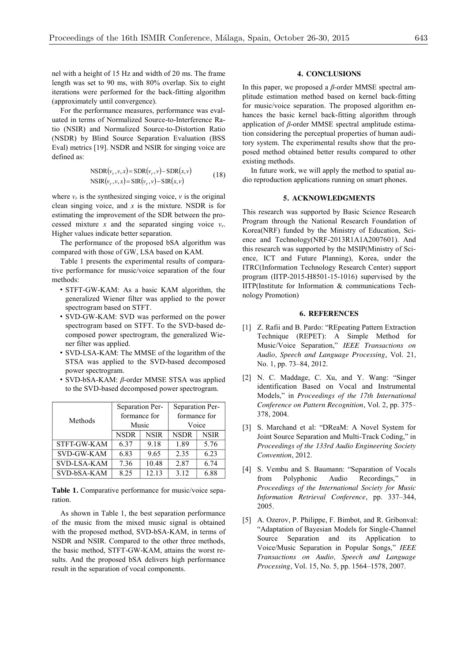nel with a height of 15 Hz and width of 20 ms. The frame length was set to 90 ms, with 80% overlap. Six to eight iterations were performed for the back-fitting algorithm (approximately until convergence).

For the performance measures, performance was evaluated in terms of Normalized Source-to-Interference Ratio (NSIR) and Normalized Source-to-Distortion Ratio (NSDR) by Blind Source Separation Evaluation (BSS Eval) metrics [19]. NSDR and NSIR for singing voice are defined as:

$$
NSDR(v_r, v, x) = SDR(v_r, v) - SDR(x, v)
$$
  
\n
$$
NSIR(v_r, v, x) = SIR(v_r, v) - SIR(x, v)
$$
 (18)

where  $v_r$  is the synthesized singing voice,  $v$  is the original clean singing voice, and *x* is the mixture. NSDR is for estimating the improvement of the SDR between the processed mixture *x* and the separated singing voice  $v_r$ . Higher values indicate better separation.

The performance of the proposed bSA algorithm was compared with those of GW, LSA based on KAM.

Table 1 presents the experimental results of comparative performance for music/voice separation of the four methods:

- STFT-GW-KAM: As a basic KAM algorithm, the generalized Wiener filter was applied to the power spectrogram based on STFT.
- SVD-GW-KAM: SVD was performed on the power spectrogram based on STFT. To the SVD-based decomposed power spectrogram, the generalized Wiener filter was applied.
- SVD-LSA-KAM: The MMSE of the logarithm of the STSA was applied to the SVD-based decomposed power spectrogram.
- SVD-bSA-KAM: *β*-order MMSE STSA was applied to the SVD-based decomposed power spectrogram.

| Methods     | Separation Per- |             | Separation Per- |             |
|-------------|-----------------|-------------|-----------------|-------------|
|             | formance for    |             | formance for    |             |
|             | Music           |             | Voice           |             |
|             | <b>NSDR</b>     | <b>NSIR</b> | <b>NSDR</b>     | <b>NSIR</b> |
| STFT-GW-KAM | 6.37            | 918         | 1.89            | 5.76        |
| SVD-GW-KAM  | 6.83            | 9.65        | 2.35            | 6.23        |
| SVD-LSA-KAM | 7.36            | 10.48       | 2.87            | 6.74        |
| SVD-bSA-KAM | 8.25            | 12.13       | 3.12            | 6.88        |

**Table 1.** Comparative performance for music/voice separation.

As shown in Table 1, the best separation performance of the music from the mixed music signal is obtained with the proposed method, SVD-bSA-KAM, in terms of NSDR and NSIR. Compared to the other three methods, the basic method, STFT-GW-KAM, attains the worst results. And the proposed bSA delivers high performance result in the separation of vocal components.

## **4. CONCLUSIONS**

In this paper, we proposed a *β*-order MMSE spectral amplitude estimation method based on kernel back-fitting for music/voice separation. The proposed algorithm enhances the basic kernel back-fitting algorithm through application of *β*-order MMSE spectral amplitude estimation considering the perceptual properties of human auditory system. The experimental results show that the proposed method obtained better results compared to other existing methods.

In future work, we will apply the method to spatial audio reproduction applications running on smart phones.

#### **5. ACKNOWLEDGMENTS**

This research was supported by Basic Science Research Program through the National Research Foundation of Korea(NRF) funded by the Ministry of Education, Science and Technology(NRF-2013R1A1A2007601). And this research was supported by the MSIP(Ministry of Science, ICT and Future Planning), Korea, under the ITRC(Information Technology Research Center) support program (IITP-2015-H8501-15-1016) supervised by the IITP(Institute for Information & communications Technology Promotion)

### **6. REFERENCES**

- [1] Z. Rafii and B. Pardo: "REpeating Pattern Extraction Technique (REPET): A Simple Method for Music/Voice Separation," *IEEE Transactions on Audio, Speech and Language Processing*, Vol. 21, No. 1, pp. 73–84, 2012.
- [2] N. C. Maddage, C. Xu, and Y. Wang: "Singer identification Based on Vocal and Instrumental Models," in *Proceedings of the 17th International Conference on Pattern Recognition*, Vol. 2, pp. 375– 378, 2004.
- [3] S. Marchand et al: "DReaM: A Novel System for Joint Source Separation and Multi-Track Coding," in *Proceedings of the 133rd Audio Engineering Society Convention*, 2012.
- [4] S. Vembu and S. Baumann: "Separation of Vocals from Polyphonic Audio Recordings," in *Proceedings of the International Society for Music Information Retrieval Conference*, pp. 337–344, 2005.
- [5] A. Ozerov, P. Philippe, F. Bimbot, and R. Gribonval: "Adaptation of Bayesian Models for Single-Channel Source Separation and its Application to Voice/Music Separation in Popular Songs," *IEEE Transactions on Audio, Speech and Language Processing*, Vol. 15, No. 5, pp. 1564–1578, 2007.